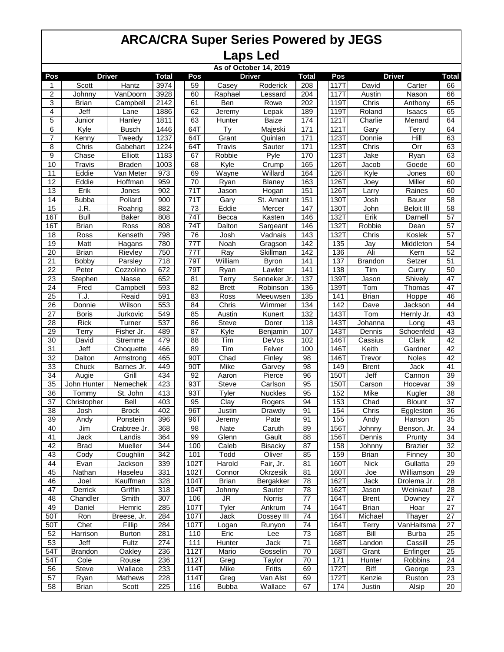| As of October 14, 2019 |                      |                  |                  |             |              |                     |                  |                   |                     |                   |                 |
|------------------------|----------------------|------------------|------------------|-------------|--------------|---------------------|------------------|-------------------|---------------------|-------------------|-----------------|
| Pos                    |                      | <b>Driver</b>    | Total            | Pos         |              | <b>Driver</b>       | <b>Total</b>     | Pos               |                     | <b>Driver</b>     | <b>Total</b>    |
| 1                      | Scott                | <b>Hantz</b>     | 3974             | 59          | Casey        | Roderick            | 208              | 117T              | David               | Carter            | 66              |
| $\overline{c}$         | Johnny               | VanDoorn         | 3928             | 60          | Raphael      | Lessard             | 204              | 117T              | Austin              | Nason             | 66              |
| 3                      | <b>Brian</b>         | Campbell         | 2142             | 61          | Ben          | Rowe                | 202              | 119T              | Chris               | Anthony           | 65              |
| 4                      | Jeff                 | Lane             | 1886             | 62          | Jeremy       | Lepak               | 189              | 119T              | Roland              | Isaacs            | 65              |
| 5                      | Junior               | Hanley           | 1811             | 63          | Hunter       | Baize               | 174              | 121T              | Charlie             | Menard            | 64              |
| $\overline{6}$         | Kyle                 | <b>Busch</b>     | 1446             | 64T         | Ty           | Majeski             | 171              | 121T              | Gary                | Terry             | 64              |
| $\overline{7}$         | Kenny                | Tweedy           | 1237             | 64T         | Grant        | Quinlan             | 171              | 123T              | Donnie              | Hill              | 63              |
| 8                      | Chris                | Gabehart         | 1224             | 64T         | Travis       | Sauter              | 171              | 123T              | $\overline{Ch}$ ris | $\overline{Orr}$  | 63              |
| $\overline{9}$         | Chase                | Elliott          | 1183             | 67          | Robbie       | Pyle                | 170              | 123T              | Jake                | Ryan              | 63              |
| 10                     | Travis               | <b>Braden</b>    | 1003             | 68          | Kyle         | $\overline{C}$ rump | 165              | 126T              | Jacob               | Goede             | 60              |
| $\overline{11}$        | Eddie                | Van Meter        | 973              | 69          | Wayne        | Willard             | 164              | 126T              | Kyle                | <b>Jones</b>      | 60              |
| $\overline{12}$        | Eddie                | <b>Hoffman</b>   | 959              | 70          | Ryan         | <b>Blaney</b>       | 163              | 126T              | Joey                | Miller            | 60              |
| 13                     | Erik                 | Jones            | 902              | 71T         | Jason        | Hogan               | 151              | 126T              | Larry               | Raines            | 60              |
| 14                     | <b>Bubba</b>         | Pollard          | 900              | 71T         | Gary         | St. Amant           | 151              | 130T              | Josh                | <b>Bauer</b>      | $\overline{58}$ |
| 15                     | J.R.                 | Roahrig          | 882              | 73          | Eddie        | Mercer              | 147              | 130T              | John                | <b>Beloit III</b> | 58              |
| 16T                    | <b>Bull</b>          |                  | $\overline{808}$ | 74T         | Becca        | Kasten              | 146              | <b>132T</b>       | Erik                |                   | 57              |
|                        |                      | <b>Baker</b>     |                  | 74T         |              |                     |                  |                   |                     | Darnell           | 57              |
| 16T                    | <b>Brian</b>         | Ross             | 808              |             | Dalton       | Sargeant            | 146              | 132T              | Robbie              | Dean              |                 |
| 18                     | Ross                 | Kenseth          | 798              | 76          | Josh         | Vadnais             | 143              | 132T              | Chris               | Koslek            | $\overline{57}$ |
| 19                     | Matt                 | Hagans           | 780              | 77T         | Noah         | Gragson             | 142              | 135               | Jay                 | Middleton         | 54              |
| 20                     | <b>Brian</b>         | Rievley          | 750              | 77T         | Ray          | Skillman            | 142              | 136               | Ali                 | Kern              | 52              |
| $\overline{21}$        | Bobby                | Parsley          | 718              | 79T         | William      | <b>Byron</b>        | 141              | 137               | <b>Brandon</b>      | Setzer            | 51              |
| 22                     | Peter                | Cozzolino        | 672              | 79T         | Ryan         | Lawler              | 141              | 138               | Tim                 | Curry             | 50              |
| 23                     | Stephen              | Nasse            | 652              | 81          | Terry        | Senneker Jr.        | 137              | 139T              | Jason               | Shively           | 47              |
| 24                     | Fred                 | Campbell         | 593              | 82          | <b>Brett</b> | Robinson            | 136              | 139T              | <b>Tom</b>          | Thomas            | 47              |
| $\overline{25}$        | T.J.                 | Reaid            | 591              | 83          | Ross         | Meeuwsen            | $\overline{135}$ | 141               | <b>Brian</b>        | Hoppe             | 46              |
| 26                     | Donnie               | Wilson           | 553              | 84          | Chris        | Wimmer              | 134              | 142               | Dave                | Jackson           | 44              |
| $\overline{27}$        | <b>Boris</b>         | Jurkovic         | 549              | 85          | Austin       | Kunert              | $\overline{132}$ | 143T              | Tom                 | Hernly Jr.        | 43              |
| 28                     | <b>Rick</b>          | Turner           | 537              | 86          | <b>Steve</b> | Dorer               | 118              | 143T              | Johanna             | Long              | 43              |
| 29                     | <b>Terry</b>         | Fisher Jr.       | 489              | 87          | Kyle         | Benjamin            | 107              | 143T              | Dennis              | Schoenfeld        | 43              |
| $\overline{30}$        | David                | Stremme          | 479              | 88          | Tim          | DeVos               | 102              | 146T              | Cassius             | Clark             | 42              |
| 31                     | Jeff                 | Choquette        | 466              | 89          | Tim          | Felver              | 100              | 146T              | Keith               | Gardner           | 42              |
| $\overline{32}$        | Dalton               | Armstrong        | 465              | 90T         | Chad         | Finley              | 98               | 146T              | Trevor              | Noles             | 42              |
| 33                     | Chuck                | Barnes Jr.       | 449              | 90T         | Mike         | Garvey              | 98               | 149               | <b>Brent</b>        | <b>Jack</b>       | 41              |
| 34                     | Augie                | Grill            | 434              | 92          | Aaron        | Pierce              | 96               | 150T              | Jeff                | Cannon            | $\overline{39}$ |
| 35                     | John Hunter          | Nemechek         | 423              | 93T         | Steve        | Carlson             | 95               | <b>150T</b>       | Carson              | Hocevar           | 39              |
| 36                     | Tommy                | St. John         | 413              | 93T         | <b>Tyler</b> | <b>Nuckles</b>      | 95               | 152               | Mike                | Kugler            | 38              |
| $\overline{37}$        | Christopher          | Bell             | 403              | 95          | Clay         | Rogers              | 94               | 153               | Chad                | <b>Blount</b>     | $\overline{37}$ |
| 38                     | Josh                 | <b>Brock</b>     | 402              | 96T         | Justin       | Drawdy              | 91               | 154               | Chris               | Eggleston         | 36              |
| $\overline{39}$        | Andy                 | Ponstein         | 396              | 96T         | Jeremy       | Pate                | 91               | 155               | Andy                | Hanson            | 35              |
| 40                     | Jim                  | Crabtree Jr.     | 368              | 98          | Nate         | Caruth              | 89               | 156T              | Johnny              | Benson, Jr.       | $\overline{34}$ |
| 41                     | Jack                 | Landis           | 364              | 99          | Glenn        | Gault               | 88               | 156T              | Dennis              | Prunty            | 34              |
| 42                     | <b>Brad</b>          | Mueller          | 344              | 100         | Caleb        | <b>Bisacky</b>      | $\overline{87}$  | 158               | Johnny              | <b>Brazier</b>    | $\overline{32}$ |
| 43                     | Cody                 | Coughlin         | 342              | 101         | Todd         | Oliver              | 85               | 159               | <b>Brian</b>        | Finney            | $30\,$          |
| 44                     | Evan                 | Jackson          | 339              | 102T        | Harold       | Fair, Jr.           | 81               | 160T              | <b>Nick</b>         | Gullatta          | 29              |
| 45                     | Nathan               | Haseleu          | 331              | 102T        | Connor       | Okrzesik            | 81               | 160T              | Joe                 | Williamson        | 29              |
| 46                     | Joel                 | Kauffman         | 328              | 104T        | <b>Brian</b> | Bergakker           | $\overline{78}$  | 162T              | Jack                | Drolema Jr.       | $\overline{28}$ |
| 47                     | Derrick              | Griffin          | 318              | 104T        | Johnny       | Sauter              | 78               | 162T              | Jason               | Weinkauf          | 28              |
| 48                     | Chandler             | Smith            | 307              | 106         | JR           | Norris              | 77               | 164T              | <b>Brent</b>        | Downey            | $\overline{27}$ |
| 49                     | Daniel               | Hemric           | 285              | 107T        | Tyler        | Ankrum              | $\overline{74}$  | $16\overline{4T}$ | <b>Brian</b>        | Hoar              | $27\,$          |
| 50T                    | Ron                  | Breese, Jr.      | 284              | 107T        | <b>Jack</b>  | Dossey III          | $\overline{74}$  | 164T              | Michael             | Thayer            | $\overline{27}$ |
| 50T                    | Chet                 | Fillip           | 284              | 107T        | Logan        | Runyon              | 74               | 164T              | Terry               | VanHaitsma        | 27              |
| 52                     | Harrison             | <b>Burton</b>    | 281              | 110         | Eric         | Lee                 | $\overline{73}$  | 168T              | Bill                | <b>Burba</b>      | 25              |
| 53                     | Jeff                 | Fultz            | 274              | 111         | Hunter       | Jack                | 71               | 168T              | Landon              | Cassill           | 25              |
| 54T                    | <b>Brandon</b>       | <b>Oakley</b>    | 236              | 112T        | Mario        | Gosselin            | 70               | 168T              | Grant               | Enfinger          | 25              |
| 54T                    | Cole                 | Rouse            | 236              | 112T        | Greg         | Taylor              | 70               | 171               | Hunter              | Robbins           | 24              |
| 56                     | <b>Steve</b>         | Wallace          | 233              | 114T        | Mike         | Fritts              | 69               | 172T              | <b>Biff</b>         | George            | $\overline{23}$ |
|                        |                      |                  | 228              |             |              | Van Alst            |                  | 172T              | Kenzie              |                   | 23              |
| 57<br>58               | Ryan<br><b>Brian</b> | Mathews<br>Scott | 225              | 114T<br>116 | Greg         | Wallace             | 69<br>67         | 174               | Justin              | Ruston<br>Alsip   | 20              |
|                        |                      |                  |                  |             | <b>Bubba</b> |                     |                  |                   |                     |                   |                 |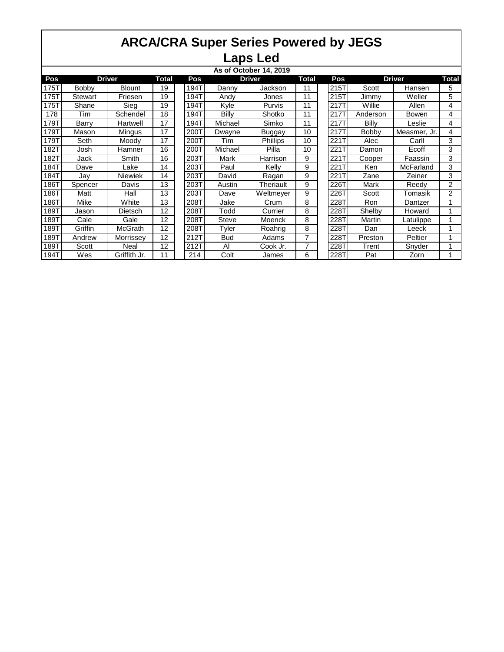| As of October 14, 2019 |                |                |              |      |               |               |              |  |             |               |              |                |
|------------------------|----------------|----------------|--------------|------|---------------|---------------|--------------|--|-------------|---------------|--------------|----------------|
| Pos                    | <b>Driver</b>  |                | <b>Total</b> | Pos  | <b>Driver</b> |               | <b>Total</b> |  | Pos         | <b>Driver</b> |              | Total          |
| 175T                   | <b>Bobby</b>   | <b>Blount</b>  | 19           | 194T | Danny         | Jackson       | 11           |  | 215T        | Scott         | Hansen       | 5              |
| 175T                   | <b>Stewart</b> | Friesen        | 19           | 194T | Andy          | Jones         | 11           |  | 215T        | Jimmy         | Weller       | 5              |
| 175T                   | Shane          | Sieg           | 19           | 194T | Kyle          | Purvis        | 11           |  | 2171        | Willie        | Allen        | 4              |
| 178                    | Tim            | Schendel       | 18           | 194T | Billy         | Shotko        | 11           |  | 2171        | Anderson      | <b>Bowen</b> | 4              |
| 179T                   | Barry          | Hartwell       | 17           | 194T | Michael       | Simko         | 11           |  | 2171        | Billy         | Leslie       | 4              |
| 179T                   | Mason          | Mingus         | 17           | 200T | Dwayne        | <b>Buggay</b> | 10           |  | 217T        | <b>Bobby</b>  | Measmer, Jr. | 4              |
| 179T                   | Seth           | Moody          | 17           | 200T | Tim           | Phillips      | 10           |  | 2211        | Alec          | Carll        | 3              |
| 182T                   | Josh           | Hamner         | 16           | 200T | Michael       | Pilla         | 10           |  | 2211        | Damon         | Ecoff        | 3              |
| 182T                   | Jack           | Smith          | 16           | 203T | Mark          | Harrison      | 9            |  | <b>221T</b> | Cooper        | Faassin      | 3              |
| 184T                   | Dave           | Lake           | 14           | 203T | Paul          | Kelly         | 9            |  | 221T        | Ken           | McFarland    | 3              |
| 184T                   | Jav            | <b>Niewiek</b> | 14           | 203T | David         | Ragan         | 9            |  | 2211        | Zane          | Zeiner       | 3              |
| 186T                   | Spencer        | Davis          | 13           | 203T | Austin        | Theriault     | 9            |  | 2261        | <b>Mark</b>   | Reedy        | $\overline{2}$ |
| $186\overline{T}$      | Matt           | Hall           | 13           | 203T | Dave          | Weltmeyer     | 9            |  | 2261        | Scott         | Tomasik      | 2              |
| 186T                   | Mike           | White          | 13           | 208T | Jake          | Crum          | 8            |  | 2281        | Ron           | Dantzer      |                |
| 189T                   | Jason          | Dietsch        | 12           | 208T | Todd          | Currier       | 8            |  | 2287        | Shelby        | Howard       |                |
| 189T                   | Cale           | Gale           | 12           | 208T | <b>Steve</b>  | Moenck        | 8            |  | 2287        | Martin        | _atulippe    |                |
| 189T                   | Griffin        | <b>McGrath</b> | 12           | 208T | Tyler         | Roahrig       | 8            |  | 2281        | Dan           | Leeck        |                |
| 189T                   | Andrew         | Morrissey      | 12           | 212T | <b>Bud</b>    | Adams         | 7            |  | 2281        | Preston       | Peltier      |                |
| 189T                   | Scott          | Neal           | 12           | 212T | Al            | Cook Jr.      | 7            |  | 2287        | Trent         | Snyder       |                |
| 194T                   | Wes            | Griffith Jr.   | 11           | 214  | Colt          | James         | 6            |  | 2287        | Pat           | Zorn         |                |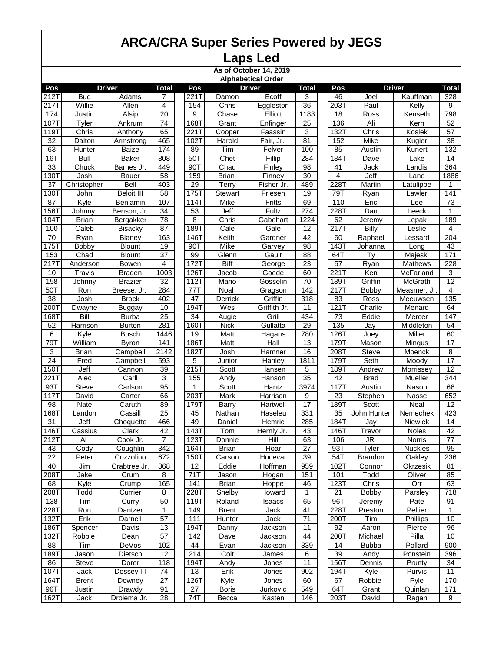**As of October 14, 2019**

**Pos Total Pos Total Pos Total** 212T Bud | Adams | 7 | 221T Damon | Ecoff | 3 | | 46 | Joel | Kauffman | 328 217T| Willie | Allen | 4 | |154 | Chris | Eggleston | 36 | |203T| Paul | Kelly | 9 174 Justin | Alsip | 20 | | 9 | Chase | Elliott | 1183 | 18 | Ross | Kenseth | 798 107T Tyler | Ankrum | 74 | 168T | Grant | Enfinger | 25 | 136 | Ali | Kern | 52 119T Chris | Anthony | 65 | 221T Cooper | Faassin | 3 | |132T Chris | Koslek | 57 32 | Dalton | Armstrong | 465 | |102T| Harold | Fair, Jr. | 81 | | 152 | Mike | Kugler | 38 63 | Hunter | Baize | 174 | 89 | Tim | Felver | 100 | | 85 | Austin | Kunert | 132 16T Bull | Baker | 808 | 50T | Chet | Fillip | 284 | 184T | Dave | Lake | 14 33 | Chuck | Barnes Jr. | 449 | 90T | Chad | Finley | 98 | | 41 | Jack | Landis | 364 130T Josh | Bauer | 58 | 159 | Brian | Finney | 30 | | 4 | Jeff | Lane | 1886 37 | Christopher | Bell | 403 | | 29 | Terry | Fisher Jr. | 489 | |228T | Martin | Latulippe | 1 130T John | Beloit III | 58 | 175T Stewart | Friesen | 19 | 79T | Ryan | Lawler | 141 87 | Kyle | Benjamin | 107 | |114T| Mike | Fritts | 69 | | 110 | Eric | Lee | 73 156T Johnny Benson, Jr. | 34 | | 53 | Jeff | Fultz | 274 | | 228T | Dan | Leeck | 1 104T Brian | Bergakker | 78 | | 8 | Chris | Gabehart | 1224 | | 62 | Jeremy | Lepak | 189 100 | Caleb | Bisacky | 87 | 189T | Cale | Gale | 12 | 217T | Billy | Leslie | 4 70 | Ryan | Blaney | 163 | | 146T | Keith | Gardner | 42 | | 60 | Raphael | Lessard | 204 175T Bobby | Blount | 19 | 90T | Mike | Garvey | 98 | |143T Johanna | Long | 43 153 | Chad | Blount | 37 | 1 99 | Glenn | Gault | 88 | 164T | Ty | Majeski | 171 217T Anderson | Bowen | 4 | 172T | Biff | George | 23 | | 57 | Ryan | Mathews | 228 10 | Travis | Braden | 1003 | | 126T | Jacob | Goede | 60 | | 221T | Ken | McFarland | 3 158 Johnny | Brazier | 32 | |112T | Mario | Gosselin | 70 | |189T | Griffin | McGrath | 12 50T Ron Breese, Jr. | 284 | 177T | Noah | Gragson | 142 | 217T | Bobby | Measmer, Jr. | 4 38 | Josh | Brock |402 | |47 | Derrick | Griffin |318 | |83 | Ross | Meeuwsen |135 200T Dwayne | Buggay | 10 | |194T | Wes | Griffith Jr. | 11 | |121T | Charlie | Menard | 64 168T Bill | Burba | 25 | | 34 | Augie | Grill | 434 | | 73 | Eddie | Mercer | 147 52 | Harrison | Burton | 281 | | 160T | Nick | Gullatta | 29 | | 135 | Jay | Middleton | 54 6 | Kyle | Busch |1446 | 19 | Matt | Hagans | 780 | 126T | Joey | Miller | 60 79T | William | Byron | 141 | |186T | Matt | Hall | 13 | |179T | Mason | Mingus | 17 3 | Brian | Campbell | 2142 | 182T| Josh | Hamner | 16 | |208T| Steve | Moenck | 8 24 | Fred | Campbell | 593 | | 5 | Junior | Hanley | 1811 | | 179T | Seth | Moody | 17 150T Jeff | Cannon | 39 | 215T | Scott | Hansen | 5 | | 189T | Andrew | Morrissey | 12 221T Alec | Carll | 3 | | 155 | Andy | Hanson | 35 | | 42 | Brad | Mueller | 344 93T Steve Carlson 95 1 Scott Hantz 3974 117T Austin Nason 66 117T David | Carter | 66 | 203T | Mark | Harrison | 9 | | 23 | Stephen | Nasse | 652 98 | Nate | Caruth | 89 | |179T| Barry | Hartwell | 17 | |189T| Scott | Neal | 12 168T Landon | Cassill | 25 | | 45 | Nathan | Haseleu | 331 | | 35 | John Hunter | Nemechek | 423 31 | Jeff | Choquette | 466 | | 49 | Daniel | Hemric | 285 | | 184T | Jay | Niewiek | 14 146T Cassius | Clark | 42 | 143T | Tom | Hernly Jr. | 43 | |146T | Trevor | Noles | 42 212T Al Cook Jr. 7 | 123T Donnie | Hill | 63 | 106 | JR | Norris | 77 43 | Cody | Coughlin | 342 | |164T| Brian | Hoar | 27 | | 93T | Tyler | Nuckles | 95 22 | Peter | Cozzolino | 672 | | 150T | Carson | Hocevar | 39 | | 54T | Brandon | Oakley | 236 40 | Jim | Crabtree Jr. | 368 | | 12 | Eddie | Hoffman | 959 | | 102T | Connor | Okrzesik | 81 208T Jake | Crum | 8 | | 71T | Jason | Hogan | 151 | 101 | Todd | Oliver | 85 68 | Kyle | Crump | 165 | | 141 | Brian | Hoppe | 46 | |123T | Chris | Orr | 63 208T Todd | Currier | 8 | 228T Shelby | Howard | 1 | 21 | Bobby | Parsley | 718 138 | Tim | Curry | 50 | |119T | Roland | Isaacs | 65 | |96T | Jeremy | Pate | 91 228T Ron | Dantzer | 1 | 149 | Brent | Jack | 41 | 228T Preston | Peltier | 1 132T Erik | Darnell | 57 | | 111 | Hunter | Jack | 71 | | 200T | Tim | Phillips | 10 186T Spencer | Davis | 13 | 194T Danny | Jackson | 11 | 92 | Aaron | Pierce | 96 132T Robbie | Dean | 57 | 142 | Dave | Jackson | 44 | 200T Michael | Pilla | 10 88 | Tim | DeVos |102 | |44 | Evan | Jackson |339 | |14 | Bubba | Pollard |900 189T Jason | Dietsch | 12 | | 214 | Colt | James | 6 | | 39 | Andy | Ponstein | 396 86 Steve | Dorer | 118 | 194T | Andy | Jones | 11 | | 156T | Dennis | Prunty | 34 107T Jack | Dossey III | 74 | | 13 | Erik | Jones | 902 | | 194T | Kyle | Purvis | 11 164T Brent | Downey | 27 | 126T | Kyle | Jones | 60 | | 67 | Robbie | Pyle | 170 96T | Justin | Drawdy | 91 | | 27 | Boris | Jurkovic | 549 | | 64T | Grant | Quinlan | 171 **Driver Driver Driver Alphabetical Order**

162T Jack Drolema Jr. | 28 | | 74T | Becca | Kasten | 146 | | 203T | David | Ragan | 9